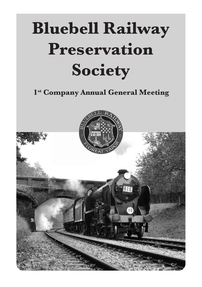# **Bluebell Railway Preservation Society**

**1st Company Annual General Meeting**

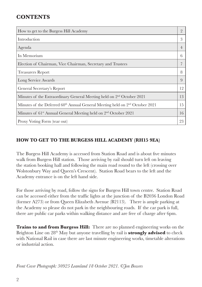# **CONTENTS**

| How to get to the Burgess Hill Academy                                                  | $\overline{2}$ |
|-----------------------------------------------------------------------------------------|----------------|
| Introduction                                                                            | 3              |
| Agenda                                                                                  | $\overline{4}$ |
| In Memorium                                                                             | h              |
| Election of Chairman, Vice Chairman, Secretary and Trustees                             |                |
| <b>Treasurers Report</b>                                                                | 8              |
| Long Service Awards                                                                     | 9              |
| General Secretary's Report                                                              | 12             |
| Minutes of the Extraordinary General Meeting held on 2 <sup>nd</sup> October 2021       | 13             |
| Minutes of the Deferred $60th$ Annual General Meeting held on $2nd$ October 2021        |                |
| Minutes of 61 <sup>st</sup> Annual General Meeting held on 2 <sup>nd</sup> October 2021 | 16             |
| Proxy Voting Form (tear out)                                                            | 23             |

# **HOW TO GET TO THE BURGESS HILL ACADEMY (RH15 9EA)**

The Burgess Hill Academy is accessed from Station Road and is about five minutes walk from Burgess Hill station. Those arriving by rail should turn left on leaving the station booking hall and following the main road round to the left (crossing over Wolstonbury Way and Queen's Crescent). Station Road bears to the left and the Academy entrance is on the left hand side.

For those arriving by road, follow the signs for Burgess Hill town centre. Station Road can be accessed either from the traffic lights at the junction of the B2036 London Road (former A273) or from Queen Elizabeth Avenue (B2113). There is ample parking at the Academy so please do not park in the neighbouring roads. If the car park is full, there are public car parks within walking distance and are free of charge after 6pm.

**Trains to and from Burgess Hill:** There are no planned engineering works on the Brighton Line on 28th May but anyone travelling by rail is **strongly advised** to check with National Rail in case there are last minute engineering works, timetable alterations or industrial action.

*Front Cover Photograph: 30925 Leamland 18 October 2021. ©Jon Bowers*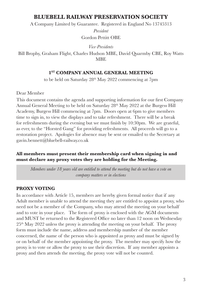A Company Limited by Guarantee. Registered in England No 13745313

*President*  Gordon Pettitt OBE

*Vice-Presidents*

Bill Brophy, Graham Flight, Charles Hudson MBE, David Quarmby CBE, Roy Watts MBE

#### 1<sup>ST</sup> COMPANY ANNUAL GENERAL MEETING

to be held on Saturday  $28<sup>th</sup>$  May  $2022$  commencing at 7pm

#### Dear Member

This document contains the agenda and supporting information for our first Company Annual General Meeting to be held on Saturday  $28<sup>th</sup>$  May  $2022$  at the Burgess Hill Academy, Burgess Hill commencing at 7pm. Doors open at 6pm to give members time to sign in, to view the displays and to take refreshment. There will be a break for refreshments during the evening but we must finish by 10:30pm. We are grateful, as ever, to the "Horsted Gang" for providing refreshments. All proceeds will go to a restoration project. Apologies for absence may be sent or emailed to the Secretary at gavin.bennett@bluebell-railway.co.uk

#### **All members must present their membership card when signing in and must declare any proxy votes they are holding for the Meeting.**

*Members under 18 years old are entitled to attend the meeting but do not have a vote on company matters or in elections*

#### **PROXY VOTING**

In accordance with Article 15, members are hereby given formal notice that if any Adult member is unable to attend the meeting they are entitled to appoint a proxy, who need not be a member of the Company, who may attend the meeting on your behalf and to vote in your place. The form of proxy is enclosed with the AGM documents and MUST be returned to the Registered Office no later than 12 noon on Wednesday  $25<sup>th</sup>$  May 2022 unless the proxy is attending the meeting on your behalf. The proxy form must include the name, address and membership number of the member concerned, the name of the person who is appointed as proxy and must be signed by or on behalf of the member appointing the proxy. The member may specify how the proxy is to vote or allow the proxy to use their discretion. If any member appoints a proxy and then attends the meeting, the proxy vote will not be counted.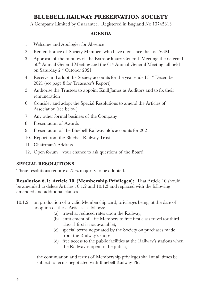A Company Limited by Guarantee. Registered in England No 13745313

#### **AGENDA**

- 1. Welcome and Apologies for Absence
- 2. Remembrance of Society Members who have died since the last AGM
- 3. Approval of the minutes of the Extraordinary General Meeting, the deferred  $60<sup>th</sup>$  Annual General Meeting and the  $61<sup>st</sup>$  Annual General Meeting; all held on Saturday 2nd October 2021
- 4. Receive and adopt the Society accounts for the year ended  $31<sup>st</sup>$  December 2021 (see page 8 for Treasurer's Report)
- 5. Authorise the Trustees to appoint Knill James as Auditors and to fix their remuneration
- 6. Consider and adopt the Special Resolutions to amend the Articles of Association (see below)
- 7. Any other formal business of the Company
- 8. Presentation of Awards
- 9. Presentation of the Bluebell Railway plc's accounts for 2021
- 10. Report from the Bluebell Railway Trust
- 11. Chairman's Address
- 12. Open forum your chance to ask questions of the Board.

# **SPECIAL RESOLUTIONS**

These resolutions require a 75% majority to be adopted.

**Resolution 6.1: Article 10 (Membership Privileges):** That Article 10 should be amended to delete Articles 10.1.2 and 10.1.3 and replaced with the following amended and additional clauses

- 10.1.2 on production of a valid Membership card, privileges being, at the date of adoption of these Articles, as follows:
	- (a) travel at reduced rates upon the Railway;
	- (b) entitlement of Life Members to free first class travel (or third class if first is not available);
	- (c) special terms negotiated by the Society on purchases made from the Railway's shops;
	- (d) free access to the public facilities at the Railway's stations when the Railway is open to the public,

the continuation and terms of Membership privileges shall at all times be subject to terms negotiated with Bluebell Railway Plc.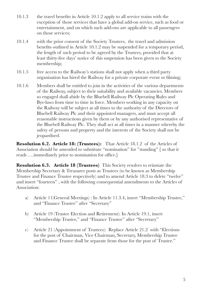- 10.1.3 the travel benefits in Article 10.1.2 apply to all service trains with the exception of those services that have a global add-on service, such as food or entertainment, and on which such add-ons are applicable to all passengers on those services;
- 10.1.4 with the prior consent of the Society Trustees, the travel and admission benefits outlined in Article 10.1.2 may be suspended for a temporary period, the length of such period to be agreed by the Trustees, provided that at least thirty-five days' notice of this suspension has been given to the Society membership;
- 10.1.5 free access to the Railway's stations shall not apply when a third party organisation has hired the Railway for a private corporate event or filming;
- 10.1.6 Members shall be entitled to join in the activities of the various departments of the Railway, subject to their suitability and available vacancies. Members so engaged shall abide by the Bluebell Railway Plc Operating Rules and Bye-laws from time to time in force. Members working in any capacity on the Railway will be subject at all times to the authority of the Directors of Bluebell Railway Plc and their appointed managers, and must accept all reasonable instructions given by them or by any authorised representative of the Bluebell Railway Plc. They shall act at all times in a manner whereby the safety of persons and property and the interests of the Society shall not be jeopardised.

**Resolution 6.2. Article 18: (Trustees):** That Article 18.1.2 of the Articles of Association should be amended to substitute "nomination" for "standing" [ so that it reads ….immediately prior to nomination for office.]

**Resolution 6.3. Article 18 (Trustees)** This Society resolves to reinstate the Membership Secretary & Treasurer posts as Trustees (to be known as Membership Trustee and Finance Trustee respectively) and to amend Article 18.3 to delete "twelve" and insert "fourteen" , with the following consequential amendments to the Articles of Association:

- a) Article 11(General Meetings) : In Article 11.3.4, insert "Membership Trustee," and "Finance Trustee" after "Secretary"
- b) Article 19 (Trustee Election and Retirement): In Article 19.1, insert "Membership Trustee," and "Finance Trustee" after "Secretary"
- c) Article 21 (Appointment of Trustees): Replace Article 21.2 with "Elections for the post of Chairman, Vice Chairman, Secretary, Membership Trustee and Finance Trustee shall be separate from those for the post of Trustee."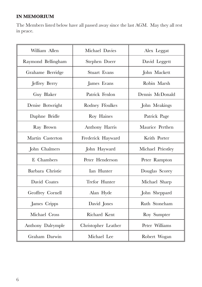# **IN MEMORIUM**

The Members listed below have all passed away since the last AGM. May they all rest in peace.

| William Allen      | Michael Davies      | Alex Leggat       |  |
|--------------------|---------------------|-------------------|--|
| Raymond Bellingham | Stephen Doerr       | David Leggett     |  |
| Grahame Berridge   | Stuart Evans        | John Mackett      |  |
| Jeffrey Berry      | James Evans         | Robin Marsh       |  |
| Guy Blaker         | Patrick Fenlon      | Dennis McDonald   |  |
| Denise Botwright   | Rodney Ffoulkes     | John Meakings     |  |
| Daphne Bridle      | Roy Haines          | Patrick Page      |  |
| Ray Brown          | Anthony Harris      | Maurice Perthen   |  |
| Martin Casterton   | Frederick Hayward   | Keith Porter      |  |
| John Chalmers      | John Hayward        | Michael Priestley |  |
| E. Chambers        | Peter Henderson     | Peter Rampton     |  |
| Barbara Christie   | <b>Ian Hunter</b>   | Douglas Scorey    |  |
| David Coates       | Trefor Hunter       | Michael Sharp     |  |
| Geoffrey Cornell   | Alan Hyde           | John Sheppard     |  |
| James Cripps       | David Jones         | Ruth Stoneham     |  |
| Michael Cross      | Richard Kent        | Roy Sumpter       |  |
| Anthony Dalrymple  | Christopher Leather | Peter Williams    |  |
| Graham Darwin      | Michael Lee         | Robert Wogan      |  |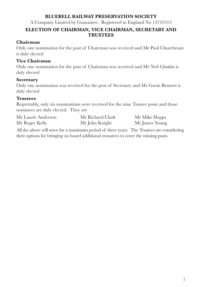A Company Limited by Guarantee. Registered in England No 13745313

#### **ELECTION OF CHAIRMAN, VICE CHAIRMAN, SECRETARY AND TRUSTEES**

#### **Chairman**

Only one nomination for the post of Chairman was received and Mr Paul Churchman is duly elected

#### **Vice Chairman**

Only one nomination for the post of Chairman was received and Mr Neil Glaskin is duly elected

#### **Secretary**

Only one nomination was received for the post of Secretary and Mr Gavin Bennett is duly elected

# **Trustees**

Regrettably, only six nominations were received for the nine Trustee posts and those nominees are duly elected. They are

| Mr Laurie Anderson | Mr Richard Clark | Mr Mike Hopps  |
|--------------------|------------------|----------------|
| Mr Roger Kelly     | Mr John Knight   | Mr James Young |

All the above will serve for a maximum period of three years. The Trustees are considering their options for bringing on board additional resources to cover the missing posts.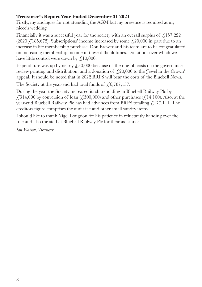# **Treasurer's Report Year Ended December 31 2021**

Firstly, my apologies for not attending the AGM but my presence is required at my niece's wedding.

Financially it was a successful year for the society with an overall surplus of  $\ell$ , 157,222 (2020  $\angle$  185,675). Subscriptions' income increased by some  $\angle$  20,000 in part due to an increase in life membership purchase. Don Brewer and his team are to be congratulated on increasing membership income in these difficult times. Donations over which we have little control were down by  $\text{\textsterling}10,000$ .

Expenditure was up by nearly  $\ell$ , 30,000 because of the one-off costs of: the governance review printing and distribution, and a donation of  $\ell$ , 20,000 to the 'Jewel in the Crown' appeal. It should be noted that in 2022 BRPS will bear the costs of the Bluebell News.

The Society at the year-end had total funds of  $\sqrt{6,787,157}$ .

During the year the Society increased its shareholding in Bluebell Railway Plc by £314,000 by conversion of loan  $(£300,000)$  and other purchases  $(£14,100)$ . Also, at the year-end Bluebell Railway Plc has had advances from BRPS totalling  $\mathcal{L}$ 177,111. The creditors figure comprises the audit fee and other small sundry items.

I should like to thank Nigel Longdon for his patience in reluctantly handing over the role and also the staff at Bluebell Railway Plc for their assistance.

*Ian Watson, Treasurer*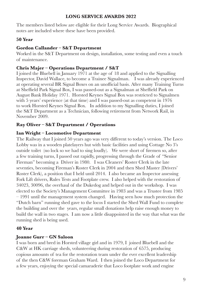#### **LONG SERVICE AWARDS 2022**

The members listed below are eligible for their Long Service Awards. Biographical notes are included where these have been provided.

# **50 Year**

## **Gordon Callander – S&T Department**

Worked in the S&T Department on design, installation, some testing and even a touch of maintenance.

#### **Chris Majer – Operations Department / S&T**

I joined the Bluebell in January 1971 at the age of 18 and applied to the Signalling Inspector, David Wallace, to become a Trainee Signalman. I was already experienced at operating several BR Signal Boxes on an unofficial basis. After many Training Turns at Sheffield Park Signal Box, I was passed-out as a Signalman at Sheffield Park on August Bank Holiday 1971. Horsted Keynes Signal Box was restricted to Signalmen with 5 years' experience (at that time) and I was passed-out as competent in 1976 to work Horsted Keynes Signal Box. In addition to my Signalling duties, I joined the S&T Department as a Technician, following retirement from Network Rail, in November 2009.

# **Ray Oliver – S&T Department / Operations**

#### **Ian Wright – Locomotive Department**

The Railway that I joined 50 years ago was very different to today's version. The Loco Lobby was in a wooden platelayers hut with basic facilities and using Cottage No 3's outside toilet (no lock so we had to sing loudly). We were short of firemen so, after a few training turns, I passed out rapidly, progressing through the Grade of "Senior Fireman" becoming a Driver in 1980. I was Cleaners' Roster Clerk in the late seventies, becoming Fireman's Roster Clerk in 2004 and then Shed Master (Drivers' Roster Clerk), a position that I held until 2014. I also became an Inspector assessing Fork Lift drivers, Rules Tests and Footplate crew. I also helped with the restoration of 34023, 30096, the overhaul of the Dukedog and helped out in the workshop. I was elected to the Society's Management Committee in 1983 and was a Trustee from 1985 – 1991 until the management system changed. Having seen how much protection the "Dutch barn" running shed gave to the locos I started the Shed Wall Fund to complete the building and over the years, regular small donations help raise enough money to build the wall in two stages. I am now a little disappointed in the way that what was the running shed is being used.

# **40 Year**

# **Joanne Gurr – GN Saloon**

I was born and bred in Horsted village girl and in 1979, I joined Bluebell and the C&W at HK carriage sheds, volunteering during restoration of 6575, producing copious amounts of tea for the restoration team under the ever excellent leadership of the then C&W foreman Graham Ward. I then joined the Loco Department for a few years, enjoying the special camaraderie that Loco footplate work and engine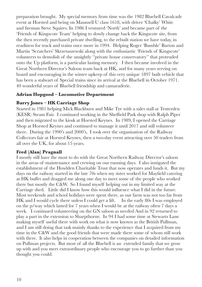preparation brought. My special memory from time was the 1982 Bluebell Cavalcade event at Horsted and being on Maunsell U class 1618, with driver 'Chalky' White and fireman Steve Squires. In 1986 I ventured 'North' and became part of the 'Friends of Kingscote Team' helping to slowly change back the Kingscote site, from the then recently purchased private dwelling, to the rebuilt station we have today, in readiness for track and trains once more in 1994. Helping Roger 'Bumble' Barton and Martin 'Scratchers' Skrzetuszewski along with the enthusiastic 'Friends of Kingscote' volunteers to demolish of the unsightly ''private house conservatory'' that protruded onto the Up platform, is a particular lasting memory. I then became involved in the Great Northern Director's Saloon team back at HK, and for many years serving on board and encouraging in the winter upkeep of this very unique 1897 built vehicle that has been a stalwart of Special trains since its arrival at the Bluebell in October 1971. 40 wonderful years of Bluebell friendship and camaraderie.

#### **Adrian Hopgood – Locomotive Department**

#### **Barry Jones – HK Carriage Shop**

Started in 1981 helping Mick Blackburn and Mike Tye with a sales stall at Tenterden (KESR) Steam Fair. I continued working in the Sheffield Park shop with Ralph Piper and then migrated to the kiosk at Horsted Keynes. In 1989, I opened the Carriage Shop at Horsted Keynes and continued to manage it until 2017 and still volunteer there. During the 1990's and 2000's, I took over the organisation of the Railway Collectors fair at Horsted Keynes, then a two-day event attracting over 50 traders from all over the UK, for about 15 years.

#### **Fred (Alan) Pragnall**

I mostly still have the most to do with the Great Northern Railway Director's saloon in the areas of maintenance and crewing on our running days. I also instigated the establishment of the Howlden Charitable Trust that now operates and funds it. But my days on the railway started in the late 70s when my sister worked for Mayfield catering at HK buffet and dragged me along one day to meet some of the people who worked there but mostly the C&W. So I found myself helping out in my limited way at the Carriage shed. Little did I know how this would influence what I did in the future. Most weekends and school holidays were spent there, as our farm was not too far from HK and I would cycle there unless I could get a lift. In the early 80s I was employed on the p/way which lasted for 7 years when I would be at the railway often 7 days a week. I continued volunteering on the GN saloon as needed And in 92 returned to play a part in the extension to Sharpthorne. In 94 I had some time at Stewarts Lane making myself useful there with work on what is now known as the British Pullman, and I am still doing that task mainly thanks to the experience that I acquired from my time in the C&W and the good friends that were made there some of whom still work with there. It also helps in cooperation between the companies on detailed information on Pullman projects. But most of all the Bluebell is an extended family that we grow up with and you meet extraordinary people who encourage you to go further than you thought you could.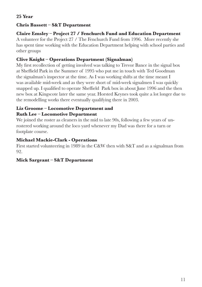# **25 Year**

# **Chris Bassett – S&T Department**

#### **Claire Emsley – Project 27 / Fenchurch Fund and Education Department** A volunteer for the Project 27 / The Fenchurch Fund from 1996. More recently she has spent time working with the Education Department helping with school parties and other groups

# **Clive Knight – Operations Department (Signalman)**

My first recollection of getting involved was talking to Trevor Bance in the signal box at Sheffield Park in the Summer of 1995 who put me in touch with Ted Goodman the signalman's inspector at the time. As I was working shifts at the time meant I was available mid-week and as they were short of mid-week signalmen I was quickly snapped up. I qualified to operate Sheffield Park box in about June 1996 and the then new box at Kingscote later the same year. Horsted Keynes took quite a lot longer due to the remodelling works there eventually qualifying there in 2003.

# **Liz Groome – Locomotive Department and Ruth Lee – Locomotive Department**

We joined the roster as cleaners in the mid to late 90s, following a few years of unrostered working around the loco yard whenever my Dad was there for a turn or footplate course.

# **Michael Mackie-Clark - Operations**

First started volunteering in 1989 in the C&W then with S&T and as a signalman from 92.

# **Mick Sargeant – S&T Department**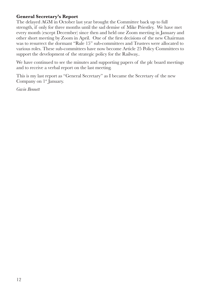### **General Secretary's Report**

The delayed AGM in October last year brought the Committee back up to full strength, if only for three months until the sad demise of Mike Priestley. We have met every month (except December) since then and held one Zoom meeting in January and other short meeting by Zoom in April. One of the first decisions of the new Chairman was to resurrect the dormant "Rule 15" sub-committees and Trustees were allocated to various roles. These sub-committees have now become Article 25 Policy Committees to support the development of the strategic policy for the Railway..

We have continued to see the minutes and supporting papers of the plc board meetings and to receive a verbal report on the last meeting.

This is my last report as "General Secretary" as I became the Secretary of the new Company on  $1<sup>st</sup>$  January.

*Gavin Bennett*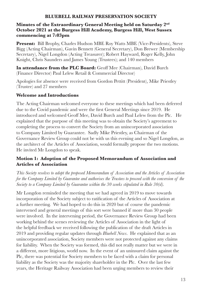#### **Minutes of the Extraordinary General Meeting held on Saturday 2nd October 2021 at the Burgess Hill Academy, Burgess Hill, West Sussex commencing at 7:03pm**

**Present:** Bill Brophy, Charles Hudson MBE Roy Watts MBE (Vice-Presidents), Steve Bigg (Acting Chairman), Gavin Bennett (General Secretary), Don Brewer (Membership Secretary), Nigel Longdon (Acting Treasurer); Robert Hayward, Roger Kelly, John Knight, Chris Saunders and James Young (Trustees); and 140 members

**In attendance from the PLC Board:** Geoff Mee (Chairman), David Burch (Finance Director) Paul Lelew Retail & Commercial Director)

Apologies for absence were received from Gordon Pettitt (President), Mike Priestley (Trustee) and 27 members

#### **Welcome and Introductions**

The Acting Chairman welcomed everyone to these meetings which had been deferred due to the Covid pandemic and were the first General Meetings since 2019. He introduced and welcomed Geoff Mee, David Burch and Paul Lelew from the Plc. He explained that the purpose of this meeting was to obtain the Society's agreement to completing the process to convert the Society from an unincorporated association to Company Limited by Guarantee. Sadly Mike Priestley, as Chairman of the Governance Review Group could not be with us this evening and so Nigel Longdon, as the architect of the Articles of Association, would formally propose the two motions. He invited Mr Longdon to speak.

#### **Motion 1: Adoption of the Proposed Memorandum of Association and Articles of Association**

*This Society resolves to adopt the proposed Memorandum of Association and the Articles of Association for the Company Limited by Guarantee and authorises the Trustees to proceed with the conversion of the Society to a Company Limited by Guarantee within the 30 weeks stipulated in Rule 30(d).* 

Mr Longdon reminded the meeting that we had agreed in 2019 to move towards incorporation of the Society subject to ratification of the Articles of Association at a further meeting. We had hoped to do this in 2020 but of course the pandemic intervened and general meetings of this sort were banned if more than 30 people were involved. In the intervening period, the Governance Review Group had been working behind the scenes reviewing the Articles of Association in the light of the helpful feedback we received following the publication of the draft Articles in 2019 and providing regular updates through *Bluebell News*. He explained that as an unincorporated association, Society members were not protected against any claims for liability. When the Society was formed, this did not really matter but we were in a different, more litigious, world now. In the event of an uninsured claim against the Plc, there was potential for Society members to be faced with a claim for personal liability as the Society was the majority shareholder in the Plc. Over the last few years, the Heritage Railway Association had been urging members to review their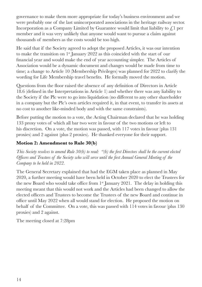governance to make them more appropriate for today's business environment and we were probably one of the last unincorporated associations in the heritage railway sector. Incorporation as a Company Limited by Guarantee would limit that liability to  $\mathcal{L}$  per member and it was very unlikely that anyone would want to pursue a claim against thousands of members as the costs would be too high.

He said that if the Society agreed to adopt the proposed Articles, it was our intention to make the transition on  $1<sup>st</sup>$  January 2022 as this coincided with the start of our financial year and would make the end of year accounting simpler. The Articles of Association would be a dynamic document and changes would be made from time to time; a change to Article 10 (Membership Privileges) was planned for 2022 to clarify the wording for Life Membership travel benefits. He formally moved the motion.

Questions from the floor raised the absence of any definition of Directors in Article 18.6 (defined in the Interpretations in Article 1) and whether there was any liability to the Society if the Plc were to go into liquidation (no different to any other shareholder in a company but the Plc's own articles required it, in that event, to transfer its assets at no cost to another like-minded body and with the same constraints).

Before putting the motion to a vote, the Acting Chairman declared that he was holding 133 proxy votes of which all bar two were in favour of the two motions or left to his discretion. On a vote, the motion was passed, with 117 votes in favour (plus 131 proxies) and 2 against (plus 2 proxies). He thanked everyone for their support.

# **Motion 2: Amendment to Rule 30(b)**

*This Society resolves to amend Rule 30(b) to read: "(b) the first Directors shall be the current elected Officers and Trustees of the Society who will serve until the first Annual General Meeting of the Company to be held in 2022.* 

The General Secretary explained that had the EGM taken place as planned in May 2020, a further meeting would have been held in October 2020 to elect the Trustees for the new Board who would take office from  $1<sup>st</sup>$  January 2021. The delay in holding this meeting meant that this would not work and the Articles had been changed to allow the elected officers and Trustees to become the Trustees of the new Board and continue in office until May 2022 when all would stand for election. He proposed the motion on behalf of the Committee. On a vote, this was passed with 114 votes in favour (plus 130 proxies) and 2 against.

The meeting closed at 7:28pm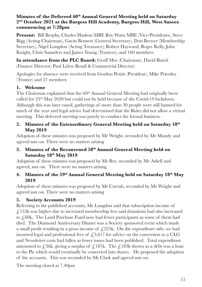#### **Minutes of the Deferred 60th Annual General Meeting held on Saturday 2nd October 2021 at the Burgess Hill Academy, Burgess Hill, West Sussex commencing at 7:28pm**

**Present:** Bill Brophy, Charles Hudson MBE Roy Watts MBE (Vice-Presidents), Steve Bigg (Acting Chairman), Gavin Bennett (General Secretary), Don Brewer (Membership Secretary), Nigel Longdon (Acting Treasurer); Robert Hayward, Roger Kelly, John Knight, Chris Saunders and James Young (Trustees); and 160 members

**In attendance from the PLC Board:** Geoff Mee (Chairman), David Burch (Finance Director) Paul Lelew Retail & Commercial Director)

Apologies for absence were received from Gordon Pettitt (President), Mike Priestley (Trustee) and 27 members

# **1. Welcome**

The Chairman explained that the 60<sup>th</sup> Annual General Meeting had originally been called for 23rd May 2020 but could not be held because of the Covid-19 lockdown. Although this was later eased, gatherings of more than 30 people were still banned for much of the year and legal advice had determined that the Rules did not allow a virtual meeting. This deferred meeting was purely to conduct the formal business.

# **2. Minutes of the Extraordinary General Meeting held on Saturday 18th May 2019**

Adoption of these minutes was proposed by Mr Wright, seconded by Mr Mundy and agreed *nem con*. There were no matters arising

# **3. Minutes of the Reconvened 58th Annual General Meeting held on Saturday 18th May 2019**

Adoption of these minutes was proposed by Mr Bee, seconded by Mr Arkell and agreed, *nem con*. There were no matters arising

#### **4. Minutes of the 59th Annual General Meeting held on Saturday 18th May 2019**

Adoption of these minutes was proposed by Mr Currah, seconded by Mr Wright and agreed *nem con*. There were no matters arising

# **5. Society Accounts 2019**

Referring to the published accounts, Mr Longdon said that subscription income of  $\epsilon$ , 155k was higher due to increased membership fees and donations had also increased to £60k, The Land Purchase Fund now had fewer participants as some of them had died. The Diamond Anniversary Dinner was a Society sponsored event which made a small profit resulting in a gross income of  $\text{\emph{L}}225k$ . On the expenditure side, we had incurred legal and professional fees of  $\sqrt{5,617}$  for advice on the conversion to a CLG and Newsletter costs had fallen as fewer issues had been published. Total expenditure amounted to  $\zeta$ 36k, giving a surplus of  $\zeta$ 187k. The  $\zeta$ 183k shown as a debt was a loan to the Plc which would eventually be converted into shares. He proposed the adoption of the accounts. This was seconded by Mr Clark and agreed *nem con*.

The meeting closed at 7.40pm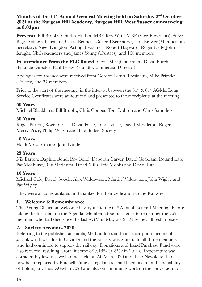#### **Minutes of the 61st Annual General Meeting held on Saturday 2nd October 2021 at the Burgess Hill Academy, Burgess Hill, West Sussex commencing at 8.03pm**

**Present:** Bill Brophy, Charles Hudson MBE Roy Watts MBE (Vice-Presidents), Steve Bigg (Acting Chairman), Gavin Bennett (General Secretary), Don Brewer (Membership Secretary), Nigel Longdon (Acting Treasurer); Robert Hayward, Roger Kelly, John Knight, Chris Saunders and James Young (Trustees); and 160 members

**In attendance from the PLC Board:** Geoff Mee (Chairman), David Burch (Finance Director) Paul Lelew Retail & Commercial Director)

Apologies for absence were received from Gordon Pettitt (President), Mike Priestley (Trustee) and 27 members

Prior to the start of the meeting, in the interval between the  $60<sup>th</sup>$  &  $61<sup>st</sup>$  AGMs, Long Service Certificates were announced and presented to those recipients at the meeting:

#### **60 Years**

Michael Blackburn, Bill Brophy, Chris Cooper, Tom Dobson and Chris Saunders

#### **50 Years**

Roger Barton, Roger Cruse, David Foale, Tony Leaver, David Middleton, Roger Merry-Price, Philip Wilson and The Bulleid Society

# **40 Years**

Heidi Mowforth and John Lander

# **25 Years**

Nik Barton, Daphne Bond, Roy Bond, Deborah Carver, David Cockram, Roland Law, Pat Medhurst, Ray Medhurst, David Mills, Eric Mobbs and David Tutt.

# **10 Years**

Michael Cole, David Gooch, Alex Widdowson, Martin Widdowson, John Wigley and Pat Wigley

They were all congratulated and thanked for their dedication to the Railway.

# **1. Welcome & Remembrance**

The Acting Chairman welcomed everyone to the  $61<sup>st</sup>$  Annual General Meeting. Before taking the first item on the Agenda, Members stood in silence to remember the 262 members who had died since the last AGM in May 2019. May they all rest in peace.

# **2. Society Accounts 2020**

Referring to the published accounts, Mr London said that subscription income of  $\angle$  135k was lower due to Covid19 and the Society was grateful to all those members who had continued to support the railway. Donations and Land Purchase Fund were also reduced, resulting a total income of  $\angle$ 185k ( $\angle$ 225k in 2019). Expenditure was considerably lower as we had not held an AGM in 2020 and the e-Newsletter had now been replaced by Bluebell Times. Legal advice had been taken on the possibility of holding a virtual AGM in 2020 and also on continuing work on the conversion to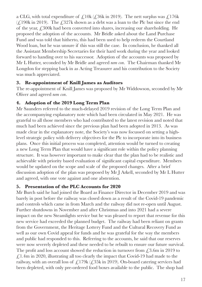a CLG, with total expenditure of  $\mathcal{L}10k (\mathcal{L}36k \text{ in } 2019)$ . The nett surplus was  $\mathcal{L}176k$  $(\text{\textsterling}, 190k \text{ in } 2019)$ . The  $\text{\textsterling}327k$  shown as a debt was a loan to the Plc but since the end of the year,  $\angle$ 300k had been converted into shares, increasing our shareholding. He proposed the adoption of the accounts. Mr Bridle asked about the Land Purchase Fund and was told that hitherto, this had been used to help redeem the Courtland Wood loan, but he was unsure if this was still the case. In conclusion, he thanked all the Assistant Membership Secretaries for their hard work during the year and looked forward to handing over to his successor. Adoption of the accounts was proposed by Mr L Hutter, seconded by Mr Bridle and agreed *nem con*. The Chairman thanked Mr Longdon for stepping back in as Acting Treasurer and his contribution to the Society was much appreciated.

#### **3. Re-appointment of Knill James as Auditors**

The re-appointment of Knill James was proposed by Mr Widdowson, seconded by Mr Oliver and agreed *nem con*.

# **4. Adoption of the 2019 Long Term Plan**

Mr Saunders referred to the much-delayed 2019 revision of the Long Term Plan and the accompanying explanatory note which had been circulated in May 2021. He was grateful to all those members who had contributed to the latest revision and noted that much had been achieved since the previous plan had been adopted in 2013. As was made clear in the explanatory note, the Society's was now focussed on setting a highlevel strategic policy with delivery objectives for the Plc to incorporate into its business plans. Once this initial process was completed, attention would be turned to creating a new Long Term Plan that would have a significant role within the policy planning structure. It was however important to make clear that the plan had to be realistic and achievable with priority based evaluation of significant capital expenditure. Members would be updated on the scope and scale of the proposed changes. After a brief discussion adoption of the plan was proposed by Mr J Arkell, seconded by Mr L Hutter and agreed, with one vote against and one abstention.

# **5. Presentation of the PLC Accounts for 2020**

Mr Burch said he had joined the Board as Finance Director in December 2019 and was barely in post before the railway was closed down as a result of the Covid-19 pandemic and controls which came in from March and the railway did not re-open until August. Further shutdowns in November and after Christmas and into 2021 had a severe impact on the new Steamlights service but he was pleased to report that revenue for this new service had exceeded the planned budget. The railway had been reliant on grants from the Government, the Heritage Lottery Fund and the Cultural Recovery Fund as well as our own Covid appeal for funds and he was grateful for the way the members and public had responded to this. Referring to the accounts, he said that our reserves were now severely depleted and these needed to be rebuilt to ensure our future survival. The profit and loss account showed the reduction in turnover from  $\text{\textsterling}3.6m$  in 2019 to  $\sqrt{(1.4\text{m} \cdot \text{m})^2}$  illustrating all too clearly the impact that Covid-19 had made to the railway, with an overall loss of  $\mathcal{L}$ 179k ( $\mathcal{L}$ 35k in 2019). On-board catering services had been depleted, with only pre-ordered food boxes available to the public. The shop had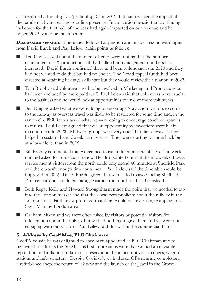also recorded a loss of  $\angle$ 15k (profit of  $\angle$ 48k in 2019) but had reduced the impact of the pandemic by increasing its online presence. In conclusion he said that continuing lockdown for the first half of the year had again impacted on our revenue and he hoped 2022 would be much better.

**Discussion session:** There then followed a question and answer session with input from David Burch and Paul Lelew. Main points as follows:

- Ted Oades asked about the number of employees, noting that the number of maintenance & production staff had fallen but management numbers had increased. David Burch confirmed there had been redundancies in 2020 and they had not wanted to do that but had no choice. The Covid appeal funds had been directed at retaining heritage skills staff but they would review the situation in 2022.
- Tom Brophy said volunteers used to be involved in Marketing and Promotions but had been excluded by more paid staff. Paul Lelew said that volunteers were crucial to the business and he would look at opportunities to involve more volunteers.
- Ben Dingley asked what we were doing to encourage 'staycation' visitors to come to the railway as overseas travel was likely to be restricted for some time and, in the same vein, Phil Barnes asked what we were doing to encourage coach companies to return. Paul Lelew agreed this was an opportunity as staycations were likely to continue into 2023. Midweek groups were very crucial to the railway as they helped to sustain the midweek train service. They were starting to come back but at a lower level than in 2019.
- Bill Brophy commented that we seemed to run a different timetable week in week out and asked for some consistency. He also pointed out that the midweek off-peak service meant visitors from the north could only spend 40 minutes at Sheffield Park and there wasn't enough time for a meal. Paul Lelew said the timetable would be improved in 2022. David Burch agreed that we needed to avoid being Sheffield Park centric and should encourage visitors from north of East Grinstead.
- Both Roger Kelly and Howard Strongitharm made the point that we needed to tap into the London market and that there was zero publicity about the railway in the London area. Paul Lelew promised that there would be advertising campaign on Sky TV in the London area.
- Graham Aitken said we were often asked by visitors or potential visitors for information about the railway but we had nothing to give them and we were not engaging with our visitors. Paul Lelew said this was in the commercial Plan

# **6. Address by Geoff Mee, PLC Chairman**

Geoff Mee said he was delighted to have been appointed as PLC Chairman and to be invited to address the AGM. His first impressions were that we had an enviable reputation for brilliant standards of preservation, be it locomotives, carriages, wagons, stations and infrastructure. Despite Covid-19, we had seen OP4 nearing completion, a refurbished shop, the return of *Camelot* and the launch of the Jewel in the Crown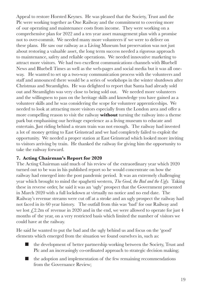Appeal to restore Horsted Keynes. He was pleased that the Society, Trust and the Plc were working together as One Railway and the commitment to covering more of our operating and maintenance costs from income. They were working on a comprehensive plan for 2022 and a ten year asset management plan with a promise not to over-commit. We needed many more volunteers if we were to deliver on these plans. He saw our railway as a Living Museum but preservation was not just about restoring a valuable asset, the long term success needed a rigorous approach to maintenance, safety and reliable operations. We needed innovative marketing to attract more visitors. We had two excellent communications channels with Bluebell News and Bluebell Times as well as the web-pages and social media but it was all oneway. He wanted to set up a two-way communication process with the volunteers and staff and announced there would be a series of workshops in the winter shutdown after Christmas and Steamlights. He was delighted to report that Santa had already sold out and Steamlights was very close to being sold out. We needed more volunteers and the willingness to pass on the heritage skills and knowledge you have gained as a volunteer skills and he was considering the scope for volunteer apprenticeships. We needed to look at attracting more visitors especially from the London area and offer a more compelling reason to visit the railway **without** turning the railway into a theme park but emphasising our heritage experience as a living museum to educate and entertain. Just riding behind a steam train was not enough. The railway had invested a lot of money getting to East Grinstead and we had completely failed to exploit the opportunity. We needed a proper station at East Grinstead which looked more inviting to visitors arriving by train. He thanked the railway for giving him the opportunity to take the railway forward.

#### **7. Acting Chairman's Report for 2020**

The Acting Chairman said much of his review of the extraordinary year which 2020 turned out to be was in his published report so he would concentrate on how the railway had emerged into the post pandemic period. It was an extremely challenging year which brought to mind the spaghetti western, *The Good, the Bad and the Ugly.* Taking these in reverse order, he said it was an 'ugly' prospect that the Government presented in March 2020 with a full lockdown at virtually no notice and no end date. The Railway's revenue streams were cut off at a stroke and an ugly prospect the railway had not faced in its 60 year history. The outfall from this was 'bad' for our Railway and we lost  $\sqrt{2.2m}$  of revenue in 2020 and in the end, we were allowed to operate for just 4 months of the year, on a very restricted basis which limited the number of visitors we could have at the railway.

He said he wanted to put the bad and the ugly behind us and focus on the 'good' elements which emerged from the situation we found ourselves in, such as:

- the development of better partnership working between the Society, Trust and Plc and an increasingly co-ordinated approach to strategic decision making;
- the adoption and implementation of the few remaining recommendations from the Governance Review;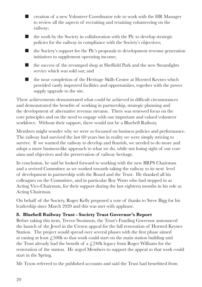■ creation of a new Volunteer Coordinator role to work with the HR Manager to review all the aspects of recruiting and retaining volunteering on the railway;



- the Society's support for the Plc's proposals to development revenue generation initiatives to supplement operating income;
- the success of the revamped shop at Sheffield Park and the new Steamlights service which was sold out; and
- the near completion of the Heritage Skills Centre at Horsted Keynes which provided vastly improved facilities and opportunities, together with the power supply upgrade to the site.

These achievements demonstrated what could be achieved in difficult circumstances and demonstrated the benefits of working in partnership, strategic planning and the development of alternative revenue streams. There was renewed focus on the core principles and on the need to engage with our important and valued volunteer workforce. Without their support, there would not be a Bluebell Railway.

Members might wonder why we were so focussed on business policies and performance. The railway had survived the last 60 years but in reality we were simply striving to survive. If we wanted the railway to develop and flourish, we needed to do more and adopt a more business-like approach to what we do, while not losing sight of our core aims and objectives and the preservation of railway heritage.

In conclusion, he said he looked forward to working with the new BRPS Chairman and a revived Committee as we worked towards taking the railway to its next level of development in partnership with the Board and the Trust. He thanked all his colleagues on the Committee, and in particular Roy Watts who had stepped in as Acting Vice-Chairman, for their support during the last eighteen months in his role as Acting Chairman.

On behalf of the Society, Roger Kelly proposed a vote of thanks to Steve Bigg for his leadership since March 2020 and this was met with applause.

# **8. Bluebell Railway Trust - Society Trust Governor's Report**

Before taking this item, Trevor Swainson, the Trust's Funding Governor announced the launch of the Jewel in the Crown appeal for the full restoration of Horsted Keynes Station. The project would spread over several phases with the first phase aimed at raising at least  $\angle 500k$  so that work could start on the main station building and the Trust already had the benefit of a  $\angle$  4.240k legacy from Roger Williams for the restoration of the station. He urged Members to support the appeal so that work could start in the Spring.

Mr Tyson referred to the published accounts and said the Trust had benefitted from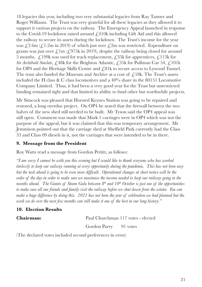18 legacies this year, including two very substantial legacies from Ray Tanner and Roger Williams. The Trust was very grateful for all these legacies as they allowed it to support it various projects on the railway. The Emergency Appeal launched in response to the Covid-19 lockdown raised around  $\angle 410k$  including Gift Aid and this allowed the railway to secure its assets during the lockdown. The Trust's income for the year was  $\angle 2.6$ m ( $\angle 1.2$ m in 2019) of which just over  $\angle 2$ m was restricted. Expenditure on grants was just over  $\mathcal{L}$  1m ( $\mathcal{L}$ 975k in 2019), despite the railway being closed for around 5 months.  $\angle$ 199k was used for track replacement,  $\angle$ 35k for apprentices,  $\angle$ 113k for *Sir Archibald Sinclair*,  $\angle$ ,48k for the Brighton Atlantic,  $\angle$ ,55k for Pullman Car 54,  $\angle$ ,101k for OP4 and the Heritage Skills Centre and £81k to secure access to Lywood Tunnel. The trust also funded the Museum and Archive at a cost of  $\int_{\mathcal{L}} 18k$ . The Trust's assets included the H class & C class locomotives and a 40% share in the 80151 Locomotive Company Limited. Thus, it had been a very good year for the Trust but unrestricted funding remained tight and that limited its ability to fund other but worthwhile projects.

Mr Simcock was pleased that Horsted Keynes Station was going to be repaired and restored, a long overdue project. On OP4 he noted that the firewall between the two halves of the new shed still needed to be built. Mr Tyson said the OP4 appeal was still open. Comment was made that Mark 1 carriages were in OP4 which was not the purpose of the appeal, but it was claimed that this was temporary arrangement. Mr Jemmison pointed out that the carriage shed at Sheffield Park currently had the Class 33 and Class 09 diesels in it, not the carriages that were intended to be in there.

# **9. Message from the President**

Roy Watts read a message from Gordon Pettitt, as follows:

*"I am sorry I cannot be with you this evening but I would like to thank everyone who has worked tirelessly to keep our railway running at every opportunity during the pandemic. This has not been easy but the task ahead is going to be even more difficult. Operational changes at short notice will be the order of the day in order to make sure we maximise the income needed to keep our railway going in the months ahead. The Giants of Steam Gala between 8<sup>th</sup> and 10<sup>th</sup> October is just one of the opportunities to make sure all our friends and family visit the railway before we shut down from the winter. You can make a huge difference by doing this. 2021 has not been the year of celebration we had planned but the work we do over the next few months can still make it one of the best in our long history."*

# **10. Election Results**

**Chairman:** Paul Churchman 117 votes - elected

Gordon Parry 91 votes

(The declared votes included second preferences in error)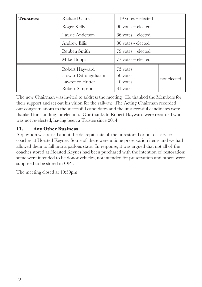| <b>Trustees:</b> | Richard Clark                                                              | $119$ votes – elected                        |             |
|------------------|----------------------------------------------------------------------------|----------------------------------------------|-------------|
|                  | Roger Kelly                                                                | $90$ votes – elected                         |             |
|                  | Laurie Anderson                                                            | $86$ votes – elected                         |             |
|                  | Andrew Ellis                                                               | 80 votes - elected                           |             |
|                  | Reuben Smith                                                               | $79$ votes – elected                         |             |
|                  | Mike Hopps                                                                 | $77$ votes – elected                         |             |
|                  | Robert Hayward<br>Howard Strongitharm<br>Lawrence Hutter<br>Robert Simpson | 73 votes<br>50 votes<br>40 votes<br>31 votes | not elected |

The new Chairman was invited to address the meeting. He thanked the Members for their support and set out his vision for the railway. The Acting Chairman recorded our congratulations to the successful candidates and the unsuccessful candidates were thanked for standing for election. Our thanks to Robert Hayward were recorded who was not re-elected, having been a Trustee since 2014.

# **11. Any Other Business**

A question was raised about the decrepit state of the unrestored or out of service coaches at Horsted Keynes. Some of these were unique preservation items and we had allowed them to fall into a parlous state. In response, it was argued that not all of the coaches stored at Horsted Keynes had been purchased with the intention of restoration: some were intended to be donor vehicles, not intended for preservation and others were supposed to be stored in OP4.

The meeting closed at 10:30pm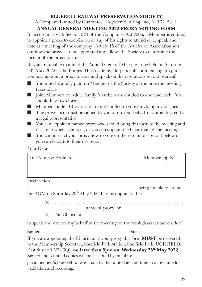A Company Limited by Guarantee. Registered in England, N° 13745313.

# **ANNUAL GENERAL MEETING 2022 PROXY VOTING FORM**

In accordance with Section 324 of the Companies Act 2006, a Member is entitled to appoint a proxy to exercise all or any of his rights to attend or to speak and vote at a meeting of the company. Article 15 of the Articles of Association sets out how the proxy is to be appointed and allows the Society to determine the format of the proxy form.

 If you are unable to attend the Annual General Meeting to be held on Saturday 28th May 2022 at the Burgess Hill Academy, Burgess Hill commencing at 7pm, you may appoint a proxy to vote and speak on the resolutions set out overleaf.

- You must be a fully paid-up Member of the Society at the time the meeting takes place
- Joint Members or Adult Family Members are entitled to one vote each. You should have two forms
- Members under 18 years old are not entitled to vote on Company business
- The proxy form must be signed by you or on your behalf or authenticated by a legal representative.
- You can appoint a named proxy who should bring this form to the meeting and declare it when signing in, or you can appoint the Chairman of the meeting
- You can instruct your proxy how to vote on the resolutions set out below or you can leave it to their discretion

# Your Details

| Full Name & Address | Membership $N^{\circ}$ |
|---------------------|------------------------|
|                     |                        |
|                     |                        |

#### **Declaration**

I, ………………………………………………………… being unable to attend the AGM on Saturday 28<sup>th</sup> May 2022 hereby appoint either:

- (a) ……………………………………………………………………… ………………. (name of proxy) or
- (b) The Chairman

to speak and vote on my behalf at the meeting on the resolutions set out overleaf

Signed……………………………………………… Date ……………………....

If you are appointing the Chairman as your proxy, this form **MUST** be delivered to the Membership Secretary, Sheffield Park Station, Sheffield Park, UCKFIELD, East Sussex TN22 3QL no later than 5pm on Wednesday 25<sup>th</sup> May 2022. Signed and scanned copies will be accepted by email to:

gavin.bennett@bluebell-railway.co.uk by the same date and time to allow time for validation and recording.